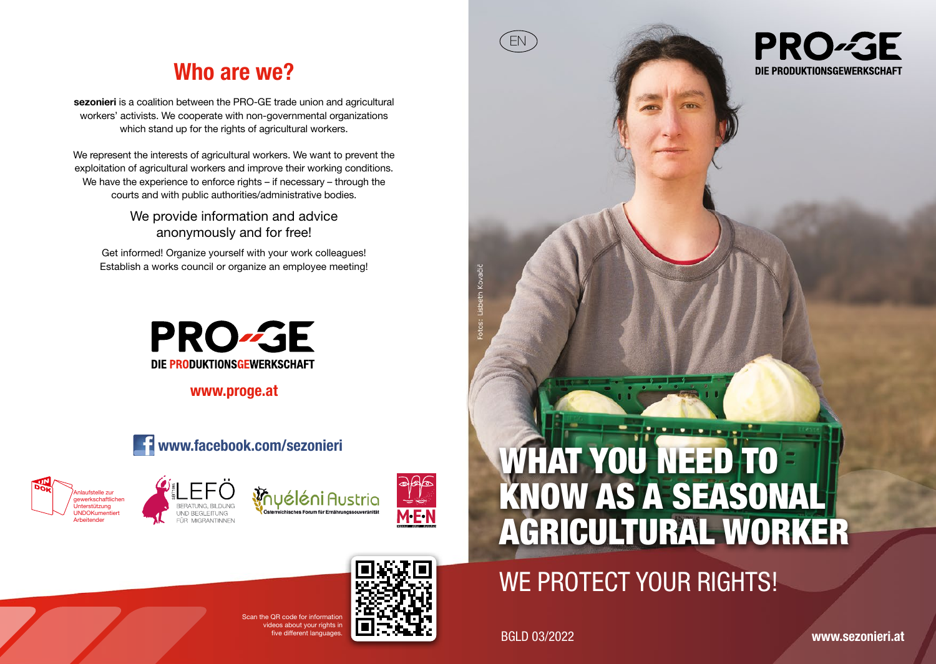# Who are we?

sezonieri is a coalition between the PRO-GE trade union and agricultural workers' activists. We cooperate with non-governmental organizations which stand up for the rights of agricultural workers.

We represent the interests of agricultural workers. We want to prevent the exploitation of agricultural workers and improve their working conditions. We have the experience to enforce rights – if necessary – through the courts and with public authorities/administrative bodies.

> We provide information and advice anonymously and for free!

Get informed! Organize yourself with your work colleagues! Establish a works council or organize an employee meeting!



www.proge.at











# WE PROTECT YOUR RIGHTS!

ive different languages. **BGLD 03/2022** 

EN

**PRO-GE** DIE PRODUKTIONSGEWERKSCHAFT

www.sezonieri.at